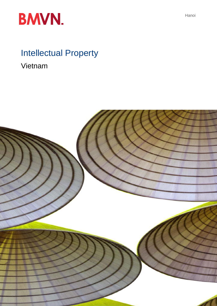

# Intellectual Property

Vietnam



Hanoi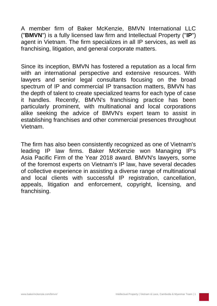A member firm of Baker McKenzie, BMVN International LLC ("**BMVN**") is a fully licensed law firm and Intellectual Property ("**IP**") agent in Vietnam. The firm specializes in all IP services, as well as franchising, litigation, and general corporate matters.

Since its inception, BMVN has fostered a reputation as a local firm with an international perspective and extensive resources. With lawyers and senior legal consultants focusing on the broad spectrum of IP and commercial IP transaction matters, BMVN has the depth of talent to create specialized teams for each type of case it handles. Recently, BMVN's franchising practice has been particularly prominent, with multinational and local corporations alike seeking the advice of BMVN's expert team to assist in establishing franchises and other commercial presences throughout Vietnam.

The firm has also been consistently recognized as one of Vietnam's leading IP law firms. Baker McKenzie won Managing IP's Asia Pacific Firm of the Year 2018 award. BMVN's lawyers, some of the foremost experts on Vietnam's IP law, have several decades of collective experience in assisting a diverse range of multinational and local clients with successful IP registration, cancellation, appeals, litigation and enforcement, copyright, licensing, and franchising.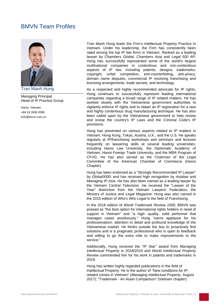# BMVN Team Profiles



Tran Manh Hung

Managing Principal Head of IP Practice Group

Hanoi, Vietnam +84 24 3936 9398 [tmh@bmvn.com.vn](mailto:tmh@bmvn.com.vn) Tran Manh Hung leads the Firm's Intellectual Property Practice in Vietnam. Under his leadership, the Firm has consistently been rated among the top IP law firms in Vietnam. Ranked as a leading lawyer by *Chambers Global, Chambers Asia* and *Legal 500 AP*, Hung has successfully represented some of the world's largest multinational companies in contentious and non-contentious aspects of IP law, including patents, designs, trademarks, copyright, unfair competition, anti-counterfeiting, anti-piracy, domain name disputes, commercial IP involving franchising and licensing arrangements, trade secrets, and technology.

As a respected and highly recommended advocate for IP rights, Hung continues to successfully represent leading international companies regarding a broad range of IP related matters. He has worked closely with the Vietnamese government authorities to vigilantly enforce IP rights and to obtain an IP registration for a new and highly contentious drug manufacturing technique. He has also been called upon by the Vietnamese government to help review and revise the country's IP Laws and the Criminal Code's IP provisions.

Hung has presented on various aspects related to IP matters in Vietnam, Hong Kong, Tokyo, Austria, U.K., and the U.S. He speaks regularly at IP/franchising workshops and seminars and lectures frequently on lawyering skills at several leading universities, including Hanoi Law University, the Diplomatic Academy of Vietnam, Hanoi Foreign Trade University, and the MBA Program of CFVG. He has also served as the Chairman of the Legal Committee of the American Chamber of Commerce (Hanoi Chapter).

Hung has been endorsed as a "Strongly Recommended IP Lawyer" by *Global3000*, and has received high recognition by *Asialaw* and *Managing IP Asia*. He has also been named as a leading lawyer by the Vietnam Central Television. He received the "Lawyer of the Year" distinction from the Vietnam Lawyers' Federation, the Ministry of Justice and *Legal Magazine*. Hung was also named in the 2015 edition of *Who's Who Legal* in the field of Franchising.

In the 2018 edition of *World Trademark Review 1000,* BMVN was praised as "the best option for international rights holders in need of support in Vietnam" and "a high- quality, solid performer that manages cases assiduously." Hung "earns applause for his professionalism, attention to detail and profound knowledge of the Vietnamese market. He thinks outside the box to proactively find solutions and is a pragmatic professional who is open to feedback and willing to go the extra mile to make improvements to the service."

Additionally, Hung received the "IP Star" award from *Managing Intellectual Property* in 2018/2019 and *World Intellectual Property Review* commended him for his work in patents and trademarks in 2018.

Hung has written highly regarded publications in the field of Intellectual Property. He is the author of "New conditions for IPrelated crimes in Vietnam" (*Managing Intellectual Property*, August 2017); "Trademark - An Asian Comparison" (Vietnam chapter)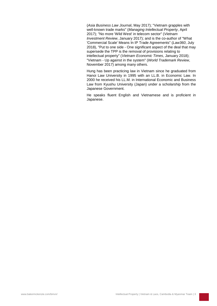(*Asia Business Law Journa*l, May 2017); "Vietnam grapples with well-known trade marks" (*Managing Intellectual Property*, April 2017); "No more 'Wild West' in telecom sector" (*Vietnam Investment Review*, January 2017); and is the co-author of "What 'Commercial Scale' Means In IP Trade Agreements" (*Law360*, July 2018), "Put to one side - One significant aspect of the deal that may supersede the TPP is the removal of provisions relating to intellectual property" (*Vietnam Economic Times*, January 2018); "Vietnam - Up against in the system" (*World Trademark Review*, November 2017) among many others.

Hung has been practicing law in Vietnam since he graduated from Hanoi Law University in 1995 with an LL.B. in Economic Law. In 2000 he received his LL.M. in International Economic and Business Law from Kyushu University (Japan) under a scholarship from the Japanese Government.

He speaks fluent English and Vietnamese and is proficient in Japanese.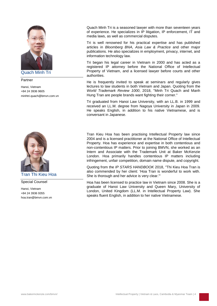

Quach Minh Tri

### Partner

Hanoi, Vietnam +84 24 3936 9605 [minhtri.quach@bmvn.com.vn](mailto:minhtri.quach@bmvn.com.vn)



Tran Thi Kieu Hoa

Special Counsel

Hanoi, Vietnam +84 24 3936 9355 [hoa.tran@bmvn.com.vn](mailto:hoa.tran@bmvn.com.vn) Quach Minh Tri is a seasoned lawyer with more than seventeen years of experience. He specializes in IP litigation, IP enforcement, IT and media laws, as well as commercial disputes.

Tri is well renowned for his practical expertise and has published articles in *Bloomberg BNA, Asia Law & Practice* and other major publications. He also specializes in employment, privacy, internet, and information technology law.

Tri began his legal career in Vietnam in 2000 and has acted as a registered IP attorney before the National Office of Intellectual Property of Vietnam, and a licensed lawyer before courts and other authorities.

He is frequently invited to speak at seminars and regularly gives lectures to law students in both Vietnam and Japan. Quoting from the *World Trademark Review 1000*, 2018, "Minh Tri Quach and Manh Hung Tran are people brands want fighting their corner."

Tri graduated from Hanoi Law University, with an LL.B. in 1999 and received an LL.M. degree from Nagoya University in Japan in 2009. He speaks English, in addition to his native Vietnamese, and is conversant in Japanese.

Tran Kieu Hoa has been practising Intellectual Property law since 2004 and is a licensed practitioner at the National Office of Intellectual Property. Hoa has experience and expertise in both contentious and non-contentious IP matters. Prior to joining BMVN, she worked as an Intern and Associate with the Trademark Unit at Baker McKenzie London. Hoa primarily handles contentious IP matters including infringement, unfair competition, domain name dispute, and copyright.

Quoting from the *IP STARS HANDBOOK* 2018, "Thi Kieu Hoa Tran is also commended by her client: 'Hoa Tran is wonderful to work with. She is thorough and her advice is very clear.'"

Hoa has been licensed to practice law in Vietnam since 2008. She is a graduate of Hanoi Law University and Queen Mary, University of London, United Kingdom (LL.M. in Intellectual Property Law). She speaks fluent English, in addition to her native Vietnamese.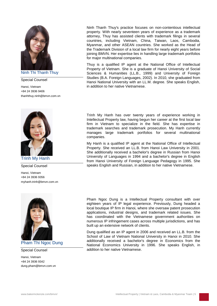

Ninh Thi Thanh Thuy

### Special Counsel

Hanoi, Vietnam +84 24 3936 9406 [thanhthuy.ninh@bmvn.com.vn](mailto:thanhthuy.ninh@bmvn.com.vn)



Trinh My Hanh

Special Counsel

Hanoi, Vietnam +84 24 3936 9356 [myhanh.trinh@bmvn.com.vn](mailto:myhanh.trinh@bmvn.com.vn)



# Pham Thi Ngoc Dung

### Special Counsel

Hanoi, Vietnam +84 24 3936 9342 [dung.pham@bmvn.com.vn](mailto:dung.pham@bmvn.com.vn) Ninh Thanh Thuy's practice focuses on non-contentious intellectual property. With nearly seventeen years of experience as a trademark attorney, Thuy has assisted clients with trademark filings in several countries, including Vietnam, China, Taiwan, Laos, Cambodia, Myanmar, and other ASEAN countries. She worked as the Head of the Trademark Division of a local law firm for nearly eight years before joining BMVN. Her expertise lies in handling large trademark portfolios for major multinational companies.

Thuy is a qualified IP agent at the National Office of Intellectual Property of Vietnam. She is a graduate of Hanoi University of Social Sciences & Humanities (LL.B., 1999) and University of Foreign Studies (B.A. Foreign Languages, 2002). In 2010, she graduated from Hanoi National University with an LL.M. degree. She speaks English, in addition to her native Vietnamese.

Trinh My Hanh has over twenty years of experience working in Intellectual Property law, having begun her career at the first local law firm in Vietnam to specialize in the field. She has expertise in trademark searches and trademark prosecution. My Hanh currently manages large trademark portfolios for several multinational companies.

My Hanh is a qualified IP agent at the National Office of Intellectual Property. She received an LL.B. from Hanoi Law University in 2001. She additionally received a bachelor's degree in Russian from Hanoi University of Languages in 1994 and a bachelor's degree in English from Hanoi University of Foreign Language Pedagogy in 1995. She speaks English and Russian, in addition to her native Vietnamese.

Pham Ngoc Dung is a Intellectual Property consultant with over eighteen years of IP legal experience. Previously, Dung headed a local boutique IP firm in Hanoi, where she oversaw patent prosecution applications, industrial designs, and trademark related issues. She has coordinated with the Vietnamese government authorities on numerous IP infringement cases across multiple jurisdictions, and has built up an extensive network of clients.

Dung qualified as an IP agent in 2006 and received an LL.B. from the School of Law of Vietnam National University in Hanoi in 2010. She additionally received a bachelor's degree in Economics from the National Economics University in 1996. She speaks English, in addition to her native Vietnamese.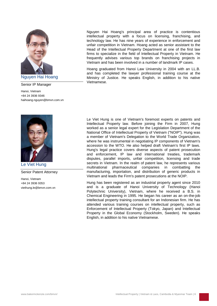

Senior IP Manager

Hanoi, Vietnam +84 24 3936 9346 [haihoang.nguyen@bmvn.com.vn](mailto:haihoang.nguyen@bmvn.com.vn)



Le Viet Hung

Senior Patent Attorney

Hanoi, Vietnam +84 24 3936 9353 [viethung.le@bmvn.com.vn](mailto:viethung.le@bmvn.com.vn) Nguyen Hai Hoang's principal area of practice is contentious intellectual property with a focus on licensing, franchising, and technology law. He has nine years of experience in enforcement and unfair competition in Vietnam. Hoang acted as senior assistant to the Head of the Intellectual Property Department at one of the first law firms to specialize in the field of Intellectual Property in Vietnam. He frequently advises various top brands on franchising projects in Vietnam and has been involved in a number of landmark IP cases.

Hoang graduated from Hanoi Law University in 2004 with an LL.B. and has completed the lawyer professional training course at the Ministry of Justice. He speaks English, in addition to his native Vietnamese.

Le Viet Hung is one of Vietnam's foremost experts on patents and Intellectual Property law. Before joining the Firm in 2007, Hung worked as a senior legal expert for the Legislation Department of the National Office of Intellectual Property of Vietnam ("NOIP"). Hung was a member of Vietnam's Delegation to the World Trade Organization, where he was instrumental in negotiating IP components of Vietnam's accession to the WTO. He also helped draft Vietnam's first IP laws. Hung's legal practice covers diverse aspects of patent prosecution and enforcement, IP law and international treaties, trademark disputes, parallel imports, unfair competition, licensing and trade secrets in Vietnam. In the realm of patent law, he represents various multinational pharmaceutical companies in combatting the manufacturing, importation, and distribution of generic products in Vietnam and leads the Firm's patent prosecutions at the NOIP.

Hung has been registered as an industrial property agent since 2010 and is a graduate of Hanoi University of Technology (Hanoi Polytechnic University), Vietnam, where he received a B.S. in Chemical Engineering in 1995. He began his career as an on-the-job intellectual property training consultant for an Indonesian firm. He has attended various training courses on intellectual property, such as Enforcement of Intellectual Property (Tokyo, Japan) and Intellectual Property in the Global Economy (Stockholm, Sweden). He speaks English, in addition to his native Vietnamese.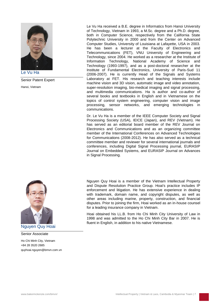

Le Vu Ha

Senior Patent Expert

Hanoi, Vietnam



Nguyen Quy Hoai

Senior Associate

Ho Chi Minh City, Vietnam +84 28 3520 2685 [quyhoai.nguyen@bmvn.com.vn](mailto:quyhoai.nguyen@bmvn.com.vn) Le Vu Ha received a B.E. degree in Informatics from Hanoi University of Technology, Vietnam in 1993, a M.Sc. degree and a Ph.D. degree, both in Computer Science, respectively from the California State Polytechnic University in 2000 and from the Center on Advanced Computer Studies, University of Louisiana at Lafayette, USA in 2003. He has been a lecturer at the Faculty of Electronics and Telecommunications (FET), VNU University of Engineering and Technology, since 2004. He worked as a researcher at the Institute of Information Technology, National Academy of Science and Technology (1993-1997), and as a post-doctoral researcher at the Institute of Fundamental Electronics, University of Paris-Sud 11 (2006-2007). He is currently Head of the Signals and Systems Laboratory at FET. His research and teaching interests include machine vision and 3D vision, automatic image and video annotation, super-resolution imaging, bio-medical imaging and signal processing, and multimedia communications. Ha is author and co-author of several books and textbooks in English and in Vietnamese on the topics of control system engineering, computer vision and image processing, sensor networks, and emerging technologies in communications.

Dr. Le Vu Ha is a member of the IEEE Computer Society and Signal Processing Society (USA), IEICE (Japan), and REV (Vietnam). He has served as an editorial board member of the REV Journal on Electronics and Communications and as an organizing committee member of the International Conferences on Advanced Technologies for Communications (2008-2012). He has also served as a technical committee member and reviewer for several international journals and conferences, including Digital Signal Processing journal, EURASIP Journal on Embedded Systems, and EURASIP Journal on Advances in Signal Processing.

Nguyen Quy Hoai is a member of the Vietnam Intellectual Property and Dispute Resolution Practice Group. Hoai's practice includes IP enforcement and litigation. He has extensive experience in dealing with trademark, domain name, and copyright disputes, as well as other areas including marine, property, construction, and financial disputes. Prior to joining the firm, Hoai worked as an in-house counsel for a leading insurance company in Vietnam.

Hoai obtained his LL.B. from Ho Chi Minh City University of Law in 1998 and was admitted to the Ho Chi Minh City Bar in 2007. He is fluent in English, in addition to his native Vietnamese.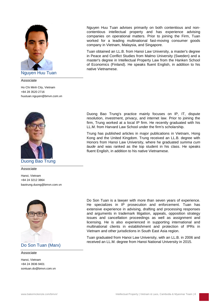

Nguyen Huu Tuan

Associate

Ho Chi Minh City, Vietnam +84 28 3520 2716 [huutuan.nguyen@bmvn.com.vn](mailto:huutuan.nguyen@bmvn.com.vn)



Associate

Hanoi, Vietnam +84 24 3212 3864 [baotrung.duong@bmvn.com.vn](mailto:baotrung.duong@bmvn.com.vn)



Do Son Tuan (Marx)

Associate

Hanoi, Vietnam +84 24 3936 9401 [sontuan.do@bmvn.com.vn](mailto:sontuan.do@bmvn.com.vn) Nguyen Huu Tuan advises primarily on both contentious and noncontentious intellectual property and has experience advising companies on operational matters. Prior to joining the Firm, Tuan worked for a leading multinational fast-moving consumer goods company in Vietnam, Malaysia, and Singapore.

Tuan obtained an LL.B. from Hanoi Law University, a master's degree in Peace and Conflict Studies from Malmo University (Sweden) and a master's degree in Intellectual Property Law from the Hanken School of Economics (Finland). He speaks fluent English, in addition to his native Vietnamese.

Duong Bao Trung's practice mainly focuses on IP, IT, dispute resolution, investment, privacy, and internet law. Prior to joining the firm, Trung worked at a local IP firm. He recently graduated with his LL.M. from Harvard Law School under the firm's scholarship.

Trung has published articles in major publications in Vietnam, Hong Kong and the United Kingdom. Trung received an LL.B. degree with Honors from Hanoi Law University, where he graduated *summa cum laude* and was ranked as the top student in his class. He speaks fluent English, in addition to his native Vietnamese.

Do Son Tuan is a lawyer with more than seven years of experience. He specializes in IP prosecution and enforcement. Tuan has extensive experience in advising, drafting and processing responses and arguments in trademark litigation, appeals, opposition strategy issues and cancellation proceedings as well as assignment and licensing. He is also experienced in supporting international and multinational clients in establishment and protection of IPRs in Vietnam and other jurisdictions in South East Asia region.

Tuan graduated from Hanoi Law University, with an LL.B. in 2006 and received an LL.M. degree from Hanoi National University in 2015.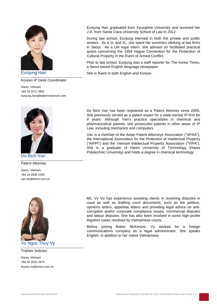

Korean IP Desk Coordinator

Hanoi, Vietnam +84 24 3212 3861 [eunjung.han@bakermckenzie.com](mailto:eunjung.han@bakermckenzie.com)



Patent Attorney

Hanoi, Vietnam +84 24 3936 2200 [van.do@bmvn.com.vn](mailto:van.do@bmvn.com.vn)



Trainee Solicitor

Hanoi, Vietnam +84 28 3520 2674 [thuyvy.vo@bmvn.com.vn](mailto:thuyvy.vo@bmvn.com.vn) Eunjung Han graduated from Kyunghee University and received her J.D. from Santa Clara University School of Law in 2012.

During law school, Eunjung interned in both the private and public sectors. As a 1L and 2L, she spent her summers clerking at law firms in Seoul. As a UN legal intern, she advised on facilitated practical action concerning the 1954 Hague Convention for the Protection of Cultural Property in the Event of Armed Conflict.

Prior to law school, Eunjung was a staff reporter for The Korea Times, a Seoul-based English language newspaper.

Eunjung Han She is fluent in both English and Korean.

Do Bich Van has been registered as a Patent Attorney since 2005. She previously served as a patent expert for a state-owned IP firm for 9 years. Although Van's practice specializes in chemical and pharmaceutical patents, she prosecutes patents in other areas of IP Law, including mechanics and computers.

Van is a member of the Asian Patent Attorneys Association ("APAA"), the International Association for the Protection of Intellectual Property ("AIPPI") and the Vietnam Intellectual Property Association ("VIPA"). She is a graduate of Hanoi University of Technology (Hanoi Polytechnic University) and holds a degree in chemical technology.

Ms. Vy Vo has experience assisting clients in resolving disputes in court as well as drafting court documents, such as the petition, opinions letters, appellate letters and providing legal advice on anticorruption and/or corporate compliance issues, commercial disputes and labour disputes. She has also been involved in some high-profile litigation cases resolved by Vietnamese courts.

Before joining Baker McKenzie, Vy worked for a foreign communications company as a legal administrator. She speaks English, in addition to her native Vietnamese.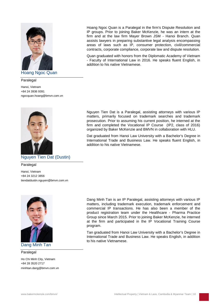

Hoang Ngoc Quan

Paralegal

Hanoi, Vietnam +84 24 3936 9391 [ngocquan.hoang@bmvn.com.vn](mailto:ngocquan.hoang@bmvn.com.vn)



Paralegal

Hanoi, Vietnam +84 24 3212 3856 [tiendatdustin.nguyen@bmvn.com.vn](mailto:tiendatdustin.nguyen@bmvn.com.vn)



Dang Minh Tan

Paralegal

Ho Chi Minh City, Vietnam +84 28 3520 2717 [minhtan.dang@bmvn.com.vn](mailto:minhtan.dang@bmvn.com.vn) Hoang Ngoc Quan is a Paralegal in the firm's Dispute Resolution and IP groups. Prior to joining Baker McKenzie, he was an intern at the firm and at the law firm Mayer Brown JSM - Hanoi Branch. Quan assists lawyers in preparing substantive legal analysis encompassing areas of laws such as IP, consumer protection, civil/commercial contracts, corporate compliance, corporate law and dispute resolution.

Quan graduated with honors from the Diplomatic Academy of Vietnam - Faculty of International Law in 2016. He speaks fluent English, in addition to his native Vietnamese.

Nguyen Tien Dat is a Paralegal, assisting attorneys with various IP matters, primarily focused on trademark searches and trademark prosecution. Prior to assuming his current position, he interned at the firm and completed the Vocational IP Course (IP2, class of 2016) organized by Baker McKenzie and BMVN in collaboration with HLU.

Dat graduated from Hanoi Law University with a Bachelor's Degree in International Trade and Business Law. He speaks fluent English, in addition to his native Vietnamese.

Dang Minh Tan is an IP Paralegal, assisting attorneys with various IP matters, including trademark execution, trademark enforcement and commercial IP transactions. He has also been a member of the product registration team under the Healthcare - Pharma Practice Group since March 2015. Prior to joining Baker McKenzie, he interned at the firm and participated in the IP Vocational Training Course program.

Tan graduated from Hanoi Law University with a Bachelor's Degree in International Trade and Business Law. He speaks English, in addition to his native Vietnamese.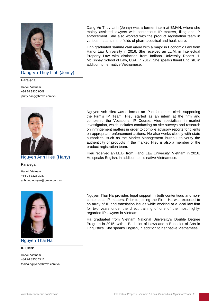

# Dang Vu Thuy Linh (Jenny)

Paralegal

Hanoi, Vietnam +84 24 3936 9608 [jenny.dang@bmvn.com.vn](mailto:jenny.dang@bmvn.com.vn)



Paralegal

Hanoi, Vietnam +84 24 3226 3987 [anhhieu.nguyen@bmvn.com.vn](mailto:anhhieu.nguyen@bmvn.com.vn)



# Nguyen Thai Ha

### IP Clerk

Hanoi, Vietnam +84 24 3936 2211 [thaiha.nguyen@bmvn.com.vn](mailto:thaiha.nguyen@bmvn.com.vn) Dang Vu Thuy Linh (Jenny) was a former intern at BMVN, where she mainly assisted lawyers with contentious IP matters, filing and IP enforcement. She also worked with the product registration team in various matters in the fields of pharmaceutical and healthcare.

Linh graduated *summa cum laude* with a major in Economic Law from Hanoi Law University in 2016. She received an LL.M. in Intellectual Property Law with distinction from Indiana University Robert H. McKinney School of Law, USA, in 2017. She speaks fluent English, in addition to her native Vietnamese.

Nguyen Anh Hieu was a former an IP enforcement clerk, supporting the Firm's IP Team. Hieu started as an intern at the firm and completed the Vocational IP Course. Hieu specializes in market investigation, which includes conducting on-site surveys and research on infringement matters in order to compile advisory reports for clients on appropriate enforcement actions. He also works closely with state authorities, such as the Market Management Bureau, to verify the authenticity of products in the market. Hieu is also a member of the product registration team.

Hieu received an LL.B. from Hanoi Law University, Vietnam in 2016. Nguyen Anh Hieu (Harry) He speaks English, in addition to his native Vietnamese.

> Nguyen Thai Ha provides legal support in both contentious and noncontentious IP matters. Prior to joining the Firm, Ha was exposed to an array of IP and translation issues while working at a local law firm for two years under the direct training of one of the most highlyregarded IP lawyers in Vietnam.

> Ha graduated from Vietnam National University's Double Degree Program in 2015, with a Bachelor of Laws and a Bachelor of Arts in Linguistics. She speaks English, in addition to her native Vietnamese.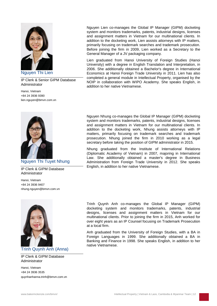

Nguyen Thi Lien

IP Clerk & Senior GIPM Database Administrator

Hanoi, Vietnam +84 24 3936 9390 [lien.nguyen@bmvn.com.vn](mailto:lien.nguyen@bmvn.com.vn)



# Nguyen Thi Tuyet Nhung

IP Clerk & GIPM Database Administrator

Hanoi, Vietnam +84 24 3936 9407 [nhung.nguyen@bmvn.com.vn](mailto:nhung.nguyen@bmvn.com.vn)



Trinh Quynh Anh (Anna)

## IP Clerk & GIPM Database Administrator

Hanoi, Vietnam +84 24 3936 3535 [quynhanhanna.trinh@bmvn.com.vn](mailto:quynhanhanna.trinh@bmvn.com.vn) Nguyen Lien co-manages the Global IP Manager (GIPM) docketing system and monitors trademarks, patents, industrial designs, licenses and assignment matters in Vietnam for our multinational clients. In addition to the docketing work, Lien assists attorneys with IP matters, primarily focusing on trademark searches and trademark prosecution. Before joining the firm in 2009, Lien worked as a Secretary to the General Manager of a JV packaging company.

Lien graduated from Hanoi University of Foreign Studies (Hanoi University) with a degree in English Translation and Interpretation, in 2006. She additionally obtained a Bachelor's degree in International Economics at Hanoi Foreign Trade University in 2011. Lien has also completed a general module in Intellectual Property, organised by the NOIP in collaboration with WIPO Academy. She speaks English, in addition to her native Vietnamese.

Nguyen Nhung co-manages the Global IP Manager (GIPM) docketing system and monitors trademarks, patents, industrial designs, licenses and assignment matters in Vietnam for our multinational clients. In addition to the docketing work, Nhung assists attorneys with IP matters, primarily focusing on trademark searches and trademark prosecution. Nhung joined the firm in 2010 working as a legal secretary before taking the position of GIPM administrator in 2015.

Nhung graduated from the Institute of International Relations (Diplomatic Academy of Vietnam) in 2007, majoring in International Law. She additionally obtained a master's degree in Business Administration from Foreign Trade University in 2012. She speaks English, in addition to her native Vietnamese.

Trinh Quynh Anh co-manages the Global IP Manager (GIPM) docketing system and monitors trademarks, patents, industrial designs, licenses and assignment matters in Vietnam for our multinational clients. Prior to joining the firm in 2015, Anh worked for over eight years as an IP Counsel focusing on Trademark Prosecution at a local firm.

Anh graduated from the University of Foreign Studies, with a BA in Foreign Languages in 1999. She additionally obtained a BA in Banking and Finance in 1998. She speaks English, in addition to her native Vietnamese.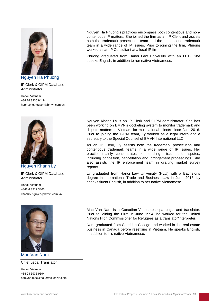

Nguyen Ha Phuong

IP Clerk & GIPM Database Administrator

Hanoi, Vietnam +84 24 3936 9419 [haphuong.nguyen@bmvn.com.vn](mailto:haphuong.nguyen@bmvn.com.vn)



Nguyen Khanh Ly

IP Clerk & GIPM Database Administrator

Hanoi, Vietnam +842 4 3212 3863 [khanhly.nguyen@bmvn.com.vn](mailto:khanhly.nguyen@bmvn.com.vn)



Mac Van Nam

Chief Legal Translator

Hanoi, Vietnam +84 24 3936 9394 [namvan.mac@bakermckenzie.com](mailto:namvan.mac@bakermckenzie.com) Nguyen Ha Phuong's practices encompass both contentious and noncontentious IP matters. She joined the firm as an IP Clerk and assists both the trademark prosecution team and the contentious trademark team in a wide range of IP issues. Prior to joining the firm, Phuong worked as an IP Consultant at a local IP firm.

Phuong graduated from Hanoi Law University with an LL.B. She speaks English, in addition to her native Vietnamese.

Nguyen Khanh Ly is an IP Clerk and GIPM administrator. She has been working on BMVN's docketing system to monitor trademark and dispute matters in Vietnam for multinational clients since Jan. 2016. Prior to joining the GIPM team, Ly worked as a legal intern and a secretary to the Special Counsel of BMVN International LLC.

As an IP Clerk, Ly assists both the trademark prosecution and contentious trademark teams in a wide range of IP issues. Her practice mainly concentrates on handling trademark disputes, including opposition, cancellation and infringement proceedings. She also assists the IP enforcement team in drafting market survey reports.

Ly graduated from Hanoi Law University (HLU) with a Bachelor's degree in International Trade and Business Law in June 2016. Ly speaks fluent English, in addition to her native Vietnamese.

Mac Van Nam is a Canadian-Vietnamese paralegal and translator. Prior to joining the Firm in June 1994, he worked for the United Nations High Commissioner for Refugees as a translator/interpreter.

Nam graduated from Sheridan College and worked in the real estate business in Canada before resettling in Vietnam. He speaks English, in addition to his native Vietnamese.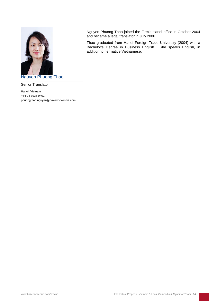

Nguyen Phuong Thao

Senior Translator

Hanoi, Vietnam +84 24 3936 9402 phuongthao.nguyen@bakermckenzie.com Nguyen Phuong Thao joined the Firm's Hanoi office in October 2004 and became a legal translator in July 2006.

Thao graduated from Hanoi Foreign Trade University (2004) with a Bachelor's Degree in Business English. She speaks English, in addition to her native Vietnamese.